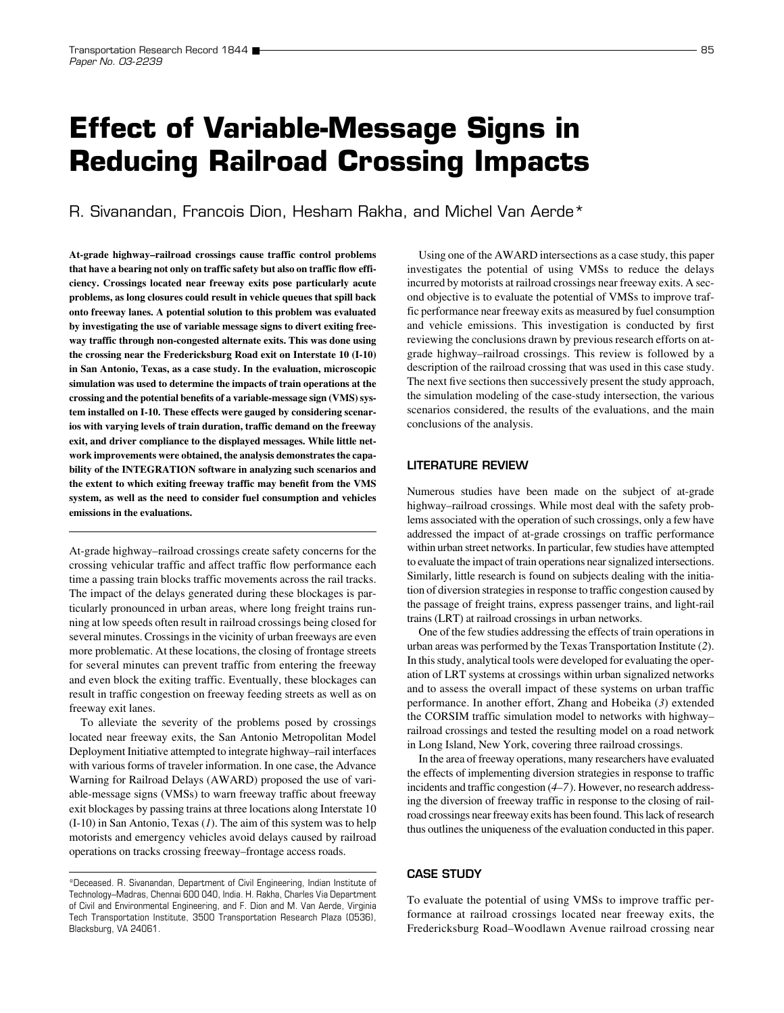# **Effect of Variable-Message Signs in Reducing Railroad Crossing Impacts**

R. Sivanandan, Francois Dion, Hesham Rakha, and Michel Van Aerde\*

**At-grade highway–railroad crossings cause traffic control problems that have a bearing not only on traffic safety but also on traffic flow efficiency. Crossings located near freeway exits pose particularly acute problems, as long closures could result in vehicle queues that spill back onto freeway lanes. A potential solution to this problem was evaluated by investigating the use of variable message signs to divert exiting freeway traffic through non-congested alternate exits. This was done using the crossing near the Fredericksburg Road exit on Interstate 10 (I-10) in San Antonio, Texas, as a case study. In the evaluation, microscopic simulation was used to determine the impacts of train operations at the crossing and the potential benefits of a variable-message sign (VMS) system installed on I-10. These effects were gauged by considering scenarios with varying levels of train duration, traffic demand on the freeway exit, and driver compliance to the displayed messages. While little network improvements were obtained, the analysis demonstrates the capability of the INTEGRATION software in analyzing such scenarios and the extent to which exiting freeway traffic may benefit from the VMS system, as well as the need to consider fuel consumption and vehicles emissions in the evaluations.**

At-grade highway–railroad crossings create safety concerns for the crossing vehicular traffic and affect traffic flow performance each time a passing train blocks traffic movements across the rail tracks. The impact of the delays generated during these blockages is particularly pronounced in urban areas, where long freight trains running at low speeds often result in railroad crossings being closed for several minutes. Crossings in the vicinity of urban freeways are even more problematic. At these locations, the closing of frontage streets for several minutes can prevent traffic from entering the freeway and even block the exiting traffic. Eventually, these blockages can result in traffic congestion on freeway feeding streets as well as on freeway exit lanes.

To alleviate the severity of the problems posed by crossings located near freeway exits, the San Antonio Metropolitan Model Deployment Initiative attempted to integrate highway–rail interfaces with various forms of traveler information. In one case, the Advance Warning for Railroad Delays (AWARD) proposed the use of variable-message signs (VMSs) to warn freeway traffic about freeway exit blockages by passing trains at three locations along Interstate 10 (I-10) in San Antonio, Texas (*1*). The aim of this system was to help motorists and emergency vehicles avoid delays caused by railroad operations on tracks crossing freeway–frontage access roads.

Using one of the AWARD intersections as a case study, this paper investigates the potential of using VMSs to reduce the delays incurred by motorists at railroad crossings near freeway exits. A second objective is to evaluate the potential of VMSs to improve traffic performance near freeway exits as measured by fuel consumption and vehicle emissions. This investigation is conducted by first reviewing the conclusions drawn by previous research efforts on atgrade highway–railroad crossings. This review is followed by a description of the railroad crossing that was used in this case study. The next five sections then successively present the study approach, the simulation modeling of the case-study intersection, the various scenarios considered, the results of the evaluations, and the main conclusions of the analysis.

## LITERATURE REVIEW

Numerous studies have been made on the subject of at-grade highway–railroad crossings. While most deal with the safety problems associated with the operation of such crossings, only a few have addressed the impact of at-grade crossings on traffic performance within urban street networks. In particular, few studies have attempted to evaluate the impact of train operations near signalized intersections. Similarly, little research is found on subjects dealing with the initiation of diversion strategies in response to traffic congestion caused by the passage of freight trains, express passenger trains, and light-rail trains (LRT) at railroad crossings in urban networks.

One of the few studies addressing the effects of train operations in urban areas was performed by the Texas Transportation Institute (*2*). In this study, analytical tools were developed for evaluating the operation of LRT systems at crossings within urban signalized networks and to assess the overall impact of these systems on urban traffic performance. In another effort, Zhang and Hobeika (*3*) extended the CORSIM traffic simulation model to networks with highway– railroad crossings and tested the resulting model on a road network in Long Island, New York, covering three railroad crossings.

In the area of freeway operations, many researchers have evaluated the effects of implementing diversion strategies in response to traffic incidents and traffic congestion (*4–7*). However, no research addressing the diversion of freeway traffic in response to the closing of railroad crossings near freeway exits has been found. This lack of research thus outlines the uniqueness of the evaluation conducted in this paper.

#### CASE STUDY

To evaluate the potential of using VMSs to improve traffic performance at railroad crossings located near freeway exits, the Fredericksburg Road–Woodlawn Avenue railroad crossing near

<sup>\*</sup>Deceased. R. Sivanandan, Department of Civil Engineering, Indian Institute of Technology–Madras, Chennai 600 040, India. H. Rakha, Charles Via Department of Civil and Environmental Engineering, and F. Dion and M. Van Aerde, Virginia Tech Transportation Institute, 3500 Transportation Research Plaza (0536), Blacksburg, VA 24061.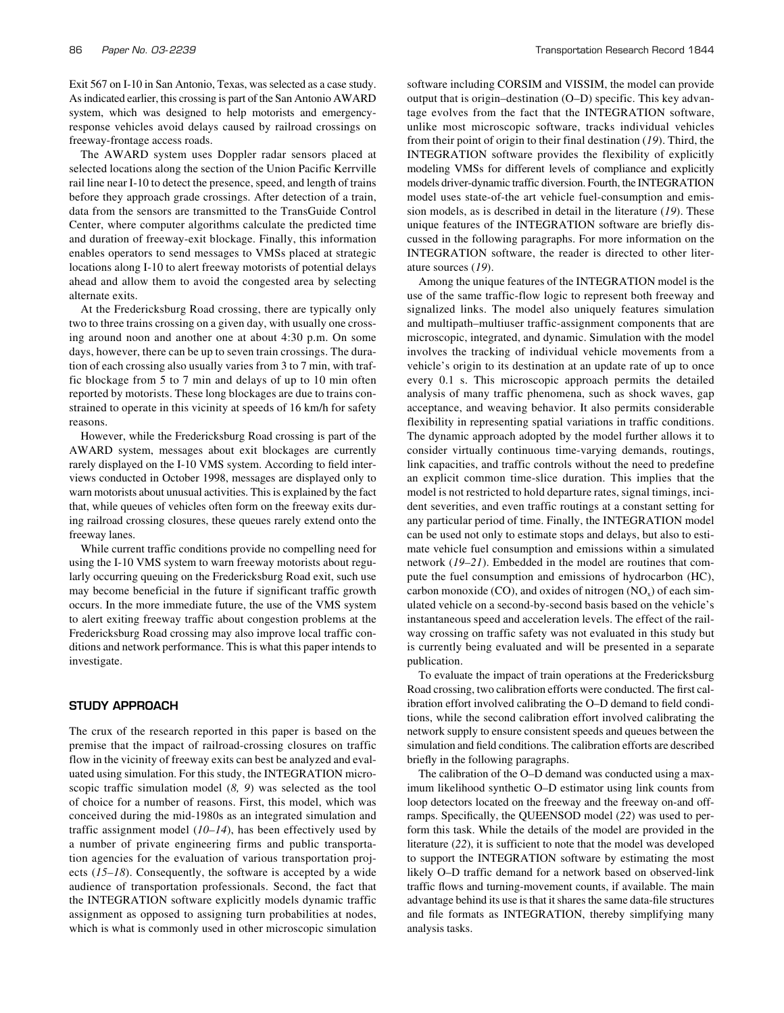Exit 567 on I-10 in San Antonio, Texas, was selected as a case study. As indicated earlier, this crossing is part of the San Antonio AWARD system, which was designed to help motorists and emergencyresponse vehicles avoid delays caused by railroad crossings on freeway-frontage access roads.

The AWARD system uses Doppler radar sensors placed at selected locations along the section of the Union Pacific Kerrville rail line near I-10 to detect the presence, speed, and length of trains before they approach grade crossings. After detection of a train, data from the sensors are transmitted to the TransGuide Control Center, where computer algorithms calculate the predicted time and duration of freeway-exit blockage. Finally, this information enables operators to send messages to VMSs placed at strategic locations along I-10 to alert freeway motorists of potential delays ahead and allow them to avoid the congested area by selecting alternate exits.

At the Fredericksburg Road crossing, there are typically only two to three trains crossing on a given day, with usually one crossing around noon and another one at about 4:30 p.m. On some days, however, there can be up to seven train crossings. The duration of each crossing also usually varies from 3 to 7 min, with traffic blockage from 5 to 7 min and delays of up to 10 min often reported by motorists. These long blockages are due to trains constrained to operate in this vicinity at speeds of 16 km/h for safety reasons.

However, while the Fredericksburg Road crossing is part of the AWARD system, messages about exit blockages are currently rarely displayed on the I-10 VMS system. According to field interviews conducted in October 1998, messages are displayed only to warn motorists about unusual activities. This is explained by the fact that, while queues of vehicles often form on the freeway exits during railroad crossing closures, these queues rarely extend onto the freeway lanes.

While current traffic conditions provide no compelling need for using the I-10 VMS system to warn freeway motorists about regularly occurring queuing on the Fredericksburg Road exit, such use may become beneficial in the future if significant traffic growth occurs. In the more immediate future, the use of the VMS system to alert exiting freeway traffic about congestion problems at the Fredericksburg Road crossing may also improve local traffic conditions and network performance. This is what this paper intends to investigate.

### STUDY APPROACH

The crux of the research reported in this paper is based on the premise that the impact of railroad-crossing closures on traffic flow in the vicinity of freeway exits can best be analyzed and evaluated using simulation. For this study, the INTEGRATION microscopic traffic simulation model (*8, 9*) was selected as the tool of choice for a number of reasons. First, this model, which was conceived during the mid-1980s as an integrated simulation and traffic assignment model (*10–14*), has been effectively used by a number of private engineering firms and public transportation agencies for the evaluation of various transportation projects (*15–18*). Consequently, the software is accepted by a wide audience of transportation professionals. Second, the fact that the INTEGRATION software explicitly models dynamic traffic assignment as opposed to assigning turn probabilities at nodes, which is what is commonly used in other microscopic simulation

software including CORSIM and VISSIM, the model can provide output that is origin–destination (O–D) specific. This key advantage evolves from the fact that the INTEGRATION software, unlike most microscopic software, tracks individual vehicles from their point of origin to their final destination (*19*). Third, the INTEGRATION software provides the flexibility of explicitly modeling VMSs for different levels of compliance and explicitly models driver-dynamic traffic diversion. Fourth, the INTEGRATION model uses state-of-the art vehicle fuel-consumption and emission models, as is described in detail in the literature (*19*). These unique features of the INTEGRATION software are briefly discussed in the following paragraphs. For more information on the INTEGRATION software, the reader is directed to other literature sources (*19*).

Among the unique features of the INTEGRATION model is the use of the same traffic-flow logic to represent both freeway and signalized links. The model also uniquely features simulation and multipath–multiuser traffic-assignment components that are microscopic, integrated, and dynamic. Simulation with the model involves the tracking of individual vehicle movements from a vehicle's origin to its destination at an update rate of up to once every 0.1 s. This microscopic approach permits the detailed analysis of many traffic phenomena, such as shock waves, gap acceptance, and weaving behavior. It also permits considerable flexibility in representing spatial variations in traffic conditions. The dynamic approach adopted by the model further allows it to consider virtually continuous time-varying demands, routings, link capacities, and traffic controls without the need to predefine an explicit common time-slice duration. This implies that the model is not restricted to hold departure rates, signal timings, incident severities, and even traffic routings at a constant setting for any particular period of time. Finally, the INTEGRATION model can be used not only to estimate stops and delays, but also to estimate vehicle fuel consumption and emissions within a simulated network (*19–21*). Embedded in the model are routines that compute the fuel consumption and emissions of hydrocarbon (HC), carbon monoxide (CO), and oxides of nitrogen  $(NO<sub>x</sub>)$  of each simulated vehicle on a second-by-second basis based on the vehicle's instantaneous speed and acceleration levels. The effect of the railway crossing on traffic safety was not evaluated in this study but is currently being evaluated and will be presented in a separate publication.

To evaluate the impact of train operations at the Fredericksburg Road crossing, two calibration efforts were conducted. The first calibration effort involved calibrating the O–D demand to field conditions, while the second calibration effort involved calibrating the network supply to ensure consistent speeds and queues between the simulation and field conditions. The calibration efforts are described briefly in the following paragraphs.

The calibration of the O–D demand was conducted using a maximum likelihood synthetic O–D estimator using link counts from loop detectors located on the freeway and the freeway on-and offramps. Specifically, the QUEENSOD model (*22*) was used to perform this task. While the details of the model are provided in the literature (*22*), it is sufficient to note that the model was developed to support the INTEGRATION software by estimating the most likely O–D traffic demand for a network based on observed-link traffic flows and turning-movement counts, if available. The main advantage behind its use is that it shares the same data-file structures and file formats as INTEGRATION, thereby simplifying many analysis tasks.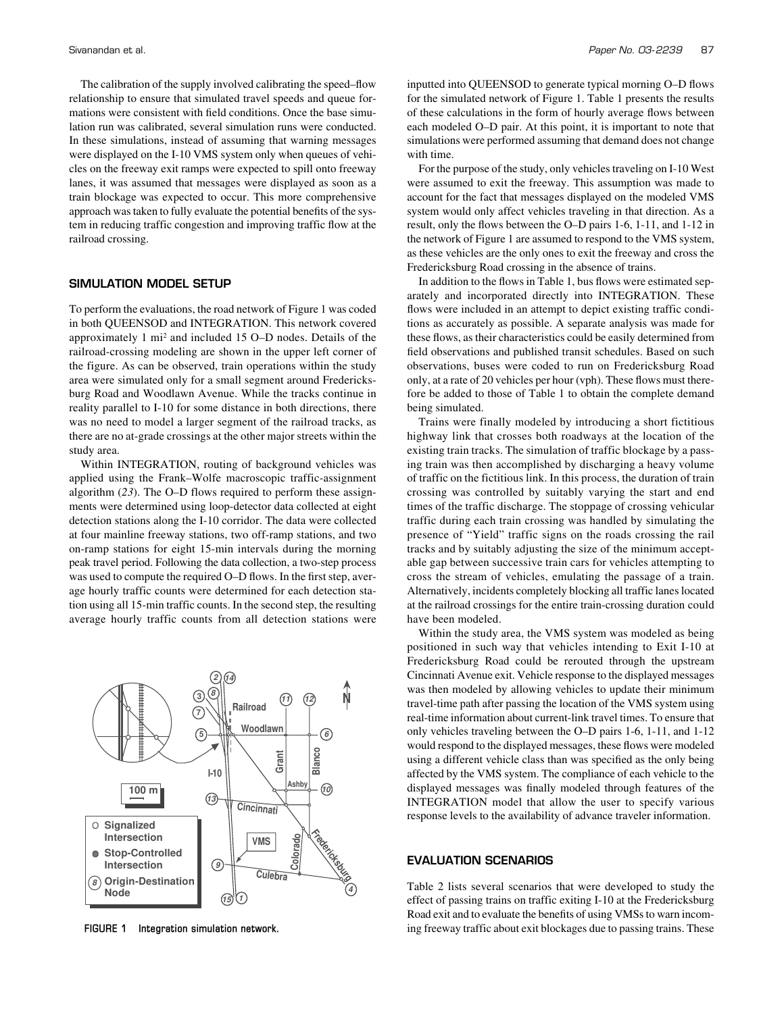The calibration of the supply involved calibrating the speed–flow relationship to ensure that simulated travel speeds and queue formations were consistent with field conditions. Once the base simulation run was calibrated, several simulation runs were conducted. In these simulations, instead of assuming that warning messages were displayed on the I-10 VMS system only when queues of vehicles on the freeway exit ramps were expected to spill onto freeway lanes, it was assumed that messages were displayed as soon as a train blockage was expected to occur. This more comprehensive approach was taken to fully evaluate the potential benefits of the system in reducing traffic congestion and improving traffic flow at the railroad crossing.

### SIMULATION MODEL SETUP

To perform the evaluations, the road network of Figure 1 was coded in both QUEENSOD and INTEGRATION. This network covered approximately 1 mi<sup>2</sup> and included 15 O–D nodes. Details of the railroad-crossing modeling are shown in the upper left corner of the figure. As can be observed, train operations within the study area were simulated only for a small segment around Fredericksburg Road and Woodlawn Avenue. While the tracks continue in reality parallel to I-10 for some distance in both directions, there was no need to model a larger segment of the railroad tracks, as there are no at-grade crossings at the other major streets within the study area.

Within INTEGRATION, routing of background vehicles was applied using the Frank–Wolfe macroscopic traffic-assignment algorithm (*23*). The O–D flows required to perform these assignments were determined using loop-detector data collected at eight detection stations along the I-10 corridor. The data were collected at four mainline freeway stations, two off-ramp stations, and two on-ramp stations for eight 15-min intervals during the morning peak travel period. Following the data collection, a two-step process was used to compute the required O–D flows. In the first step, average hourly traffic counts were determined for each detection station using all 15-min traffic counts. In the second step, the resulting average hourly traffic counts from all detection stations were



**FIGURE 1 Integration simulation network.**

inputted into QUEENSOD to generate typical morning O–D flows for the simulated network of Figure 1. Table 1 presents the results of these calculations in the form of hourly average flows between each modeled O–D pair. At this point, it is important to note that simulations were performed assuming that demand does not change with time.

For the purpose of the study, only vehicles traveling on I-10 West were assumed to exit the freeway. This assumption was made to account for the fact that messages displayed on the modeled VMS system would only affect vehicles traveling in that direction. As a result, only the flows between the O–D pairs 1-6, 1-11, and 1-12 in the network of Figure 1 are assumed to respond to the VMS system, as these vehicles are the only ones to exit the freeway and cross the Fredericksburg Road crossing in the absence of trains.

In addition to the flows in Table 1, bus flows were estimated separately and incorporated directly into INTEGRATION. These flows were included in an attempt to depict existing traffic conditions as accurately as possible. A separate analysis was made for these flows, as their characteristics could be easily determined from field observations and published transit schedules. Based on such observations, buses were coded to run on Fredericksburg Road only, at a rate of 20 vehicles per hour (vph). These flows must therefore be added to those of Table 1 to obtain the complete demand being simulated.

Trains were finally modeled by introducing a short fictitious highway link that crosses both roadways at the location of the existing train tracks. The simulation of traffic blockage by a passing train was then accomplished by discharging a heavy volume of traffic on the fictitious link. In this process, the duration of train crossing was controlled by suitably varying the start and end times of the traffic discharge. The stoppage of crossing vehicular traffic during each train crossing was handled by simulating the presence of "Yield" traffic signs on the roads crossing the rail tracks and by suitably adjusting the size of the minimum acceptable gap between successive train cars for vehicles attempting to cross the stream of vehicles, emulating the passage of a train. Alternatively, incidents completely blocking all traffic lanes located at the railroad crossings for the entire train-crossing duration could have been modeled.

Within the study area, the VMS system was modeled as being positioned in such way that vehicles intending to Exit I-10 at Fredericksburg Road could be rerouted through the upstream Cincinnati Avenue exit. Vehicle response to the displayed messages was then modeled by allowing vehicles to update their minimum travel-time path after passing the location of the VMS system using real-time information about current-link travel times. To ensure that only vehicles traveling between the O–D pairs 1-6, 1-11, and 1-12 would respond to the displayed messages, these flows were modeled using a different vehicle class than was specified as the only being affected by the VMS system. The compliance of each vehicle to the displayed messages was finally modeled through features of the INTEGRATION model that allow the user to specify various response levels to the availability of advance traveler information.

#### EVALUATION SCENARIOS

Table 2 lists several scenarios that were developed to study the effect of passing trains on traffic exiting I-10 at the Fredericksburg Road exit and to evaluate the benefits of using VMSs to warn incoming freeway traffic about exit blockages due to passing trains. These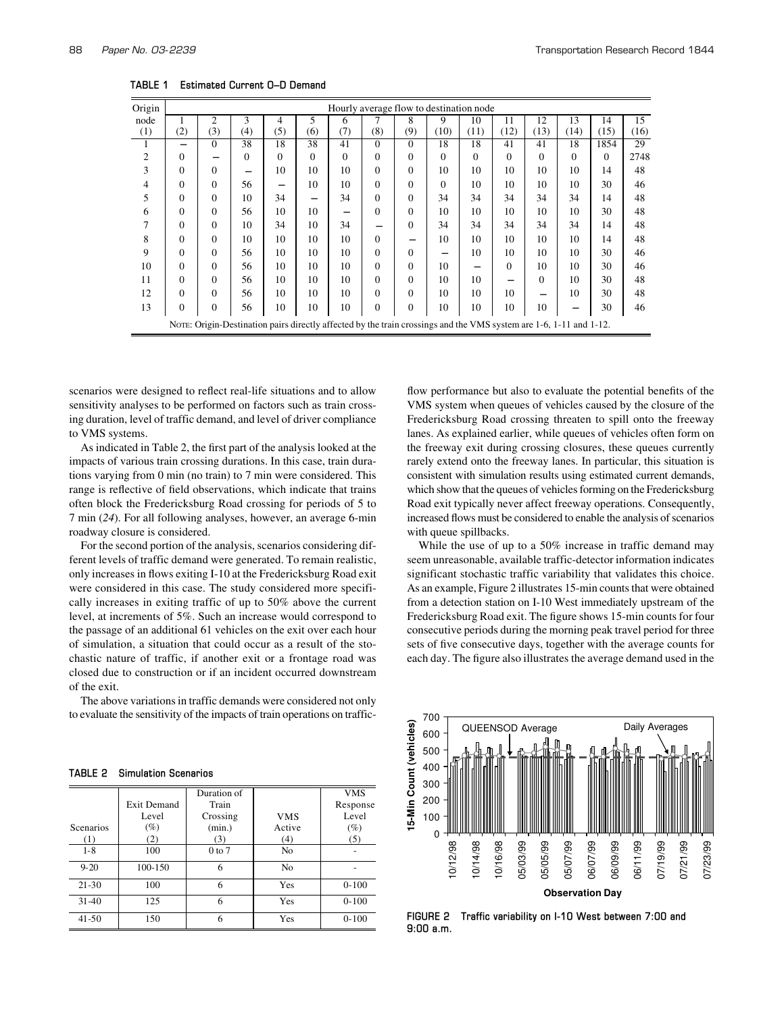| Origin         |                                                                                                                    | Hourly average flow to destination node |          |          |          |          |          |                          |              |          |          |          |          |          |      |
|----------------|--------------------------------------------------------------------------------------------------------------------|-----------------------------------------|----------|----------|----------|----------|----------|--------------------------|--------------|----------|----------|----------|----------|----------|------|
| node           |                                                                                                                    | $\overline{c}$                          | 3        | 4        | 5        | 6        |          | 8                        | 9            | 10       | 11       | 12       | 13       | 14       | 15   |
| (1)            | (2)                                                                                                                | (3)                                     | (4)      | (5)      | (6)      | (7)      | (8)      | (9)                      | (10)         | (11)     | (12)     | (13)     | (14)     | (15)     | (16) |
|                |                                                                                                                    | $\Omega$                                | 38       | 18       | 38       | 41       | $\Omega$ | $\Omega$                 | 18           | 18       | 41       | 41       | 18       | 1854     | 29   |
| $\overline{2}$ | $\Omega$                                                                                                           | —                                       | $\Omega$ | $\Omega$ | $\Omega$ | $\Omega$ | $\Omega$ | $\Omega$                 | $\Omega$     | $\Omega$ | $\Omega$ | $\Omega$ | $\Omega$ | $\Omega$ | 2748 |
| 3              | $\Omega$                                                                                                           | $\Omega$                                |          | 10       | 10       | 10       | $\Omega$ | $\Omega$                 | 10           | 10       | 10       | 10       | 10       | 14       | 48   |
| $\overline{4}$ | 0                                                                                                                  | $\theta$                                | 56       | —        | 10       | 10       | $\Omega$ | $\Omega$                 | $\mathbf{0}$ | 10       | 10       | 10       | 10       | 30       | 46   |
| 5.             | 0                                                                                                                  | $\Omega$                                | 10       | 34       |          | 34       | $\Omega$ | $\Omega$                 | 34           | 34       | 34       | 34       | 34       | 14       | 48   |
| 6              | $\Omega$                                                                                                           | $\Omega$                                | 56       | 10       | 10       | -        | $\Omega$ | $\Omega$                 | 10           | 10       | 10       | 10       | 10       | 30       | 48   |
| 7              | $\Omega$                                                                                                           | $\Omega$                                | 10       | 34       | 10       | 34       |          | $\Omega$                 | 34           | 34       | 34       | 34       | 34       | 14       | 48   |
| 8              | $\Omega$                                                                                                           | $\Omega$                                | 10       | 10       | 10       | 10       | $\Omega$ | $\overline{\phantom{0}}$ | 10           | 10       | 10       | 10       | 10       | 14       | 48   |
| 9              | 0                                                                                                                  | $\Omega$                                | 56       | 10       | 10       | 10       | $\Omega$ | $\Omega$                 | -            | 10       | 10       | 10       | 10       | 30       | 46   |
| 10             | 0                                                                                                                  | $\theta$                                | 56       | 10       | 10       | 10       | $\Omega$ | $\Omega$                 | 10           |          | $\Omega$ | 10       | 10       | 30       | 46   |
| 11             | $\Omega$                                                                                                           | $\Omega$                                | 56       | 10       | 10       | 10       | $\Omega$ | $\Omega$                 | 10           | 10       |          | $\Omega$ | 10       | 30       | 48   |
| 12             | $\Omega$                                                                                                           | $\Omega$                                | 56       | 10       | 10       | 10       | $\Omega$ | $\Omega$                 | 10           | 10       | 10       |          | 10       | 30       | 48   |
| 13             | $\Omega$                                                                                                           | $\theta$                                | 56       | 10       | 10       | 10       | $\theta$ | $\Omega$                 | 10           | 10       | 10       | 10       |          | 30       | 46   |
|                | NOTE: Origin-Destination pairs directly affected by the train crossings and the VMS system are 1-6, 1-11 and 1-12. |                                         |          |          |          |          |          |                          |              |          |          |          |          |          |      |

**TABLE 1 Estimated Current O–D Demand**

scenarios were designed to reflect real-life situations and to allow sensitivity analyses to be performed on factors such as train crossing duration, level of traffic demand, and level of driver compliance to VMS systems.

As indicated in Table 2, the first part of the analysis looked at the impacts of various train crossing durations. In this case, train durations varying from 0 min (no train) to 7 min were considered. This range is reflective of field observations, which indicate that trains often block the Fredericksburg Road crossing for periods of 5 to 7 min (*24*). For all following analyses, however, an average 6-min roadway closure is considered.

For the second portion of the analysis, scenarios considering different levels of traffic demand were generated. To remain realistic, only increases in flows exiting I-10 at the Fredericksburg Road exit were considered in this case. The study considered more specifically increases in exiting traffic of up to 50% above the current level, at increments of 5%. Such an increase would correspond to the passage of an additional 61 vehicles on the exit over each hour of simulation, a situation that could occur as a result of the stochastic nature of traffic, if another exit or a frontage road was closed due to construction or if an incident occurred downstream of the exit.

The above variations in traffic demands were considered not only to evaluate the sensitivity of the impacts of train operations on traffic-

| Table 2 |  | <b>Simulation Scenarios</b> |
|---------|--|-----------------------------|
|---------|--|-----------------------------|

|                  | <b>Exit Demand</b> | Duration of<br>Train |                | <b>VMS</b><br>Response |
|------------------|--------------------|----------------------|----------------|------------------------|
|                  | Level              | Crossing             | <b>VMS</b>     | Level                  |
| <b>Scenarios</b> | $(\%)$             | (min.)               | Active         | $(\%)$                 |
| (1)              | $\mathbf{2)}$      | (3)                  | (4)            | (5)                    |
| $1 - 8$          | 100                | $0$ to $7$           | No             |                        |
| $9 - 20$         | 100-150            | 6                    | N <sub>0</sub> |                        |
| $21 - 30$        | 100                | 6                    | Yes            | $0 - 100$              |
| $31-40$          | 125                | 6                    | Yes            | $0 - 100$              |
| $41 - 50$        | 150                | 6                    | Yes            | $0 - 100$              |

flow performance but also to evaluate the potential benefits of the VMS system when queues of vehicles caused by the closure of the Fredericksburg Road crossing threaten to spill onto the freeway lanes. As explained earlier, while queues of vehicles often form on the freeway exit during crossing closures, these queues currently rarely extend onto the freeway lanes. In particular, this situation is consistent with simulation results using estimated current demands, which show that the queues of vehicles forming on the Fredericksburg Road exit typically never affect freeway operations. Consequently, increased flows must be considered to enable the analysis of scenarios with queue spillbacks.

While the use of up to a 50% increase in traffic demand may seem unreasonable, available traffic-detector information indicates significant stochastic traffic variability that validates this choice. As an example, Figure 2 illustrates 15-min counts that were obtained from a detection station on I-10 West immediately upstream of the Fredericksburg Road exit. The figure shows 15-min counts for four consecutive periods during the morning peak travel period for three sets of five consecutive days, together with the average counts for each day. The figure also illustrates the average demand used in the



**FIGURE 2 Traffic variability on I-10 West between 7:00 and 9:00 a.m.**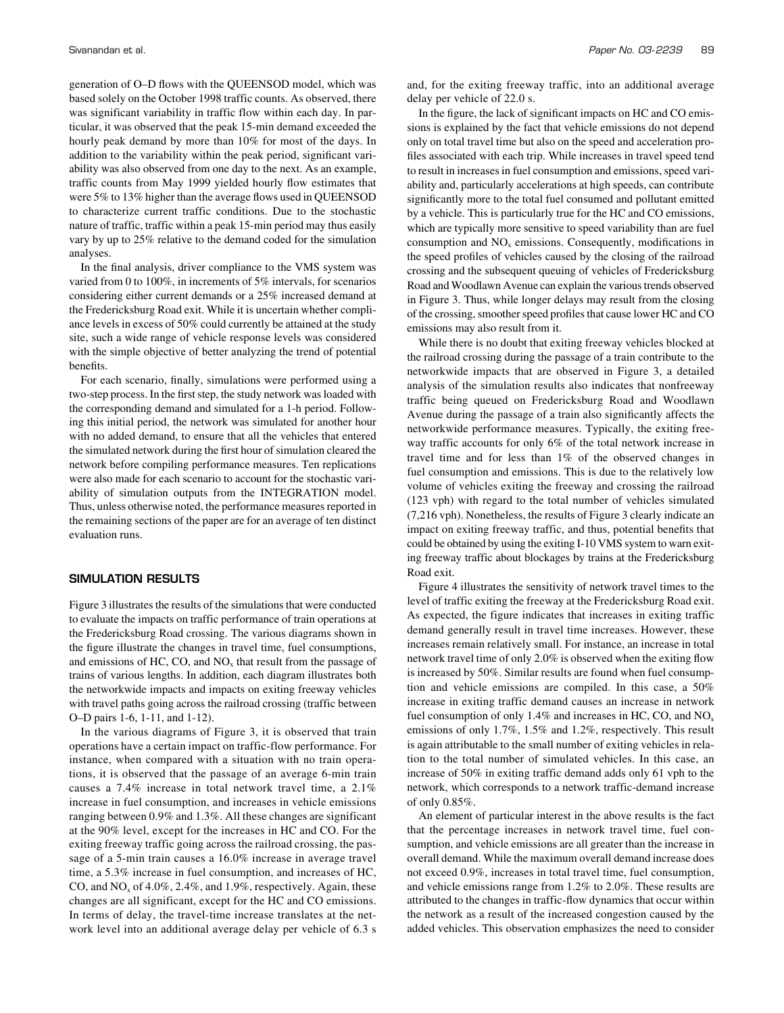generation of O–D flows with the QUEENSOD model, which was based solely on the October 1998 traffic counts. As observed, there was significant variability in traffic flow within each day. In particular, it was observed that the peak 15-min demand exceeded the hourly peak demand by more than 10% for most of the days. In addition to the variability within the peak period, significant variability was also observed from one day to the next. As an example, traffic counts from May 1999 yielded hourly flow estimates that were 5% to 13% higher than the average flows used in QUEENSOD to characterize current traffic conditions. Due to the stochastic nature of traffic, traffic within a peak 15-min period may thus easily vary by up to 25% relative to the demand coded for the simulation analyses.

In the final analysis, driver compliance to the VMS system was varied from 0 to 100%, in increments of 5% intervals, for scenarios considering either current demands or a 25% increased demand at the Fredericksburg Road exit. While it is uncertain whether compliance levels in excess of 50% could currently be attained at the study site, such a wide range of vehicle response levels was considered with the simple objective of better analyzing the trend of potential benefits.

For each scenario, finally, simulations were performed using a two-step process. In the first step, the study network was loaded with the corresponding demand and simulated for a 1-h period. Following this initial period, the network was simulated for another hour with no added demand, to ensure that all the vehicles that entered the simulated network during the first hour of simulation cleared the network before compiling performance measures. Ten replications were also made for each scenario to account for the stochastic variability of simulation outputs from the INTEGRATION model. Thus, unless otherwise noted, the performance measures reported in the remaining sections of the paper are for an average of ten distinct evaluation runs.

### SIMULATION RESULTS

Figure 3 illustrates the results of the simulations that were conducted to evaluate the impacts on traffic performance of train operations at the Fredericksburg Road crossing. The various diagrams shown in the figure illustrate the changes in travel time, fuel consumptions, and emissions of HC, CO, and  $NO<sub>x</sub>$  that result from the passage of trains of various lengths. In addition, each diagram illustrates both the networkwide impacts and impacts on exiting freeway vehicles with travel paths going across the railroad crossing (traffic between O–D pairs 1-6, 1-11, and 1-12).

In the various diagrams of Figure 3, it is observed that train operations have a certain impact on traffic-flow performance. For instance, when compared with a situation with no train operations, it is observed that the passage of an average 6-min train causes a 7.4% increase in total network travel time, a 2.1% increase in fuel consumption, and increases in vehicle emissions ranging between 0.9% and 1.3%. All these changes are significant at the 90% level, except for the increases in HC and CO. For the exiting freeway traffic going across the railroad crossing, the passage of a 5-min train causes a 16.0% increase in average travel time, a 5.3% increase in fuel consumption, and increases of HC, CO, and  $NO<sub>x</sub>$  of 4.0%, 2.4%, and 1.9%, respectively. Again, these changes are all significant, except for the HC and CO emissions. In terms of delay, the travel-time increase translates at the network level into an additional average delay per vehicle of 6.3 s and, for the exiting freeway traffic, into an additional average delay per vehicle of 22.0 s.

In the figure, the lack of significant impacts on HC and CO emissions is explained by the fact that vehicle emissions do not depend only on total travel time but also on the speed and acceleration profiles associated with each trip. While increases in travel speed tend to result in increases in fuel consumption and emissions, speed variability and, particularly accelerations at high speeds, can contribute significantly more to the total fuel consumed and pollutant emitted by a vehicle. This is particularly true for the HC and CO emissions, which are typically more sensitive to speed variability than are fuel consumption and  $NO<sub>x</sub>$  emissions. Consequently, modifications in the speed profiles of vehicles caused by the closing of the railroad crossing and the subsequent queuing of vehicles of Fredericksburg Road and Woodlawn Avenue can explain the various trends observed in Figure 3. Thus, while longer delays may result from the closing of the crossing, smoother speed profiles that cause lower HC and CO emissions may also result from it.

While there is no doubt that exiting freeway vehicles blocked at the railroad crossing during the passage of a train contribute to the networkwide impacts that are observed in Figure 3, a detailed analysis of the simulation results also indicates that nonfreeway traffic being queued on Fredericksburg Road and Woodlawn Avenue during the passage of a train also significantly affects the networkwide performance measures. Typically, the exiting freeway traffic accounts for only 6% of the total network increase in travel time and for less than 1% of the observed changes in fuel consumption and emissions. This is due to the relatively low volume of vehicles exiting the freeway and crossing the railroad (123 vph) with regard to the total number of vehicles simulated (7,216 vph). Nonetheless, the results of Figure 3 clearly indicate an impact on exiting freeway traffic, and thus, potential benefits that could be obtained by using the exiting I-10 VMS system to warn exiting freeway traffic about blockages by trains at the Fredericksburg Road exit.

Figure 4 illustrates the sensitivity of network travel times to the level of traffic exiting the freeway at the Fredericksburg Road exit. As expected, the figure indicates that increases in exiting traffic demand generally result in travel time increases. However, these increases remain relatively small. For instance, an increase in total network travel time of only 2.0% is observed when the exiting flow is increased by 50%. Similar results are found when fuel consumption and vehicle emissions are compiled. In this case, a 50% increase in exiting traffic demand causes an increase in network fuel consumption of only 1.4% and increases in HC, CO, and  $NO<sub>x</sub>$ emissions of only 1.7%, 1.5% and 1.2%, respectively. This result is again attributable to the small number of exiting vehicles in relation to the total number of simulated vehicles. In this case, an increase of 50% in exiting traffic demand adds only 61 vph to the network, which corresponds to a network traffic-demand increase of only 0.85%.

An element of particular interest in the above results is the fact that the percentage increases in network travel time, fuel consumption, and vehicle emissions are all greater than the increase in overall demand. While the maximum overall demand increase does not exceed 0.9%, increases in total travel time, fuel consumption, and vehicle emissions range from 1.2% to 2.0%. These results are attributed to the changes in traffic-flow dynamics that occur within the network as a result of the increased congestion caused by the added vehicles. This observation emphasizes the need to consider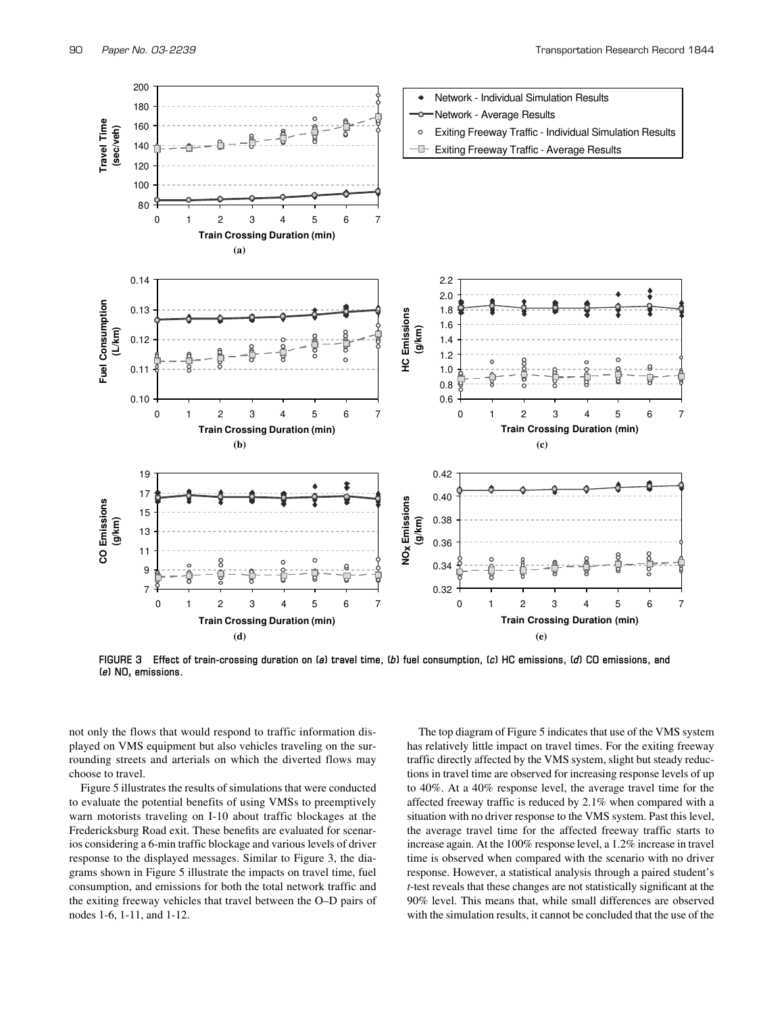

**FIGURE 3 Effect of train-crossing duration on (***a***) travel time, (***b***) fuel consumption, (***c***) HC emissions, (***d***) CO emissions, and (***e***) NO<sup>x</sup> emissions.**

not only the flows that would respond to traffic information displayed on VMS equipment but also vehicles traveling on the surrounding streets and arterials on which the diverted flows may choose to travel.

Figure 5 illustrates the results of simulations that were conducted to evaluate the potential benefits of using VMSs to preemptively warn motorists traveling on I-10 about traffic blockages at the Fredericksburg Road exit. These benefits are evaluated for scenarios considering a 6-min traffic blockage and various levels of driver response to the displayed messages. Similar to Figure 3, the diagrams shown in Figure 5 illustrate the impacts on travel time, fuel consumption, and emissions for both the total network traffic and the exiting freeway vehicles that travel between the O–D pairs of nodes 1-6, 1-11, and 1-12.

The top diagram of Figure 5 indicates that use of the VMS system has relatively little impact on travel times. For the exiting freeway traffic directly affected by the VMS system, slight but steady reductions in travel time are observed for increasing response levels of up to 40%. At a 40% response level, the average travel time for the affected freeway traffic is reduced by 2.1% when compared with a situation with no driver response to the VMS system. Past this level, the average travel time for the affected freeway traffic starts to increase again. At the 100% response level, a 1.2% increase in travel time is observed when compared with the scenario with no driver response. However, a statistical analysis through a paired student's *t*-test reveals that these changes are not statistically significant at the 90% level. This means that, while small differences are observed with the simulation results, it cannot be concluded that the use of the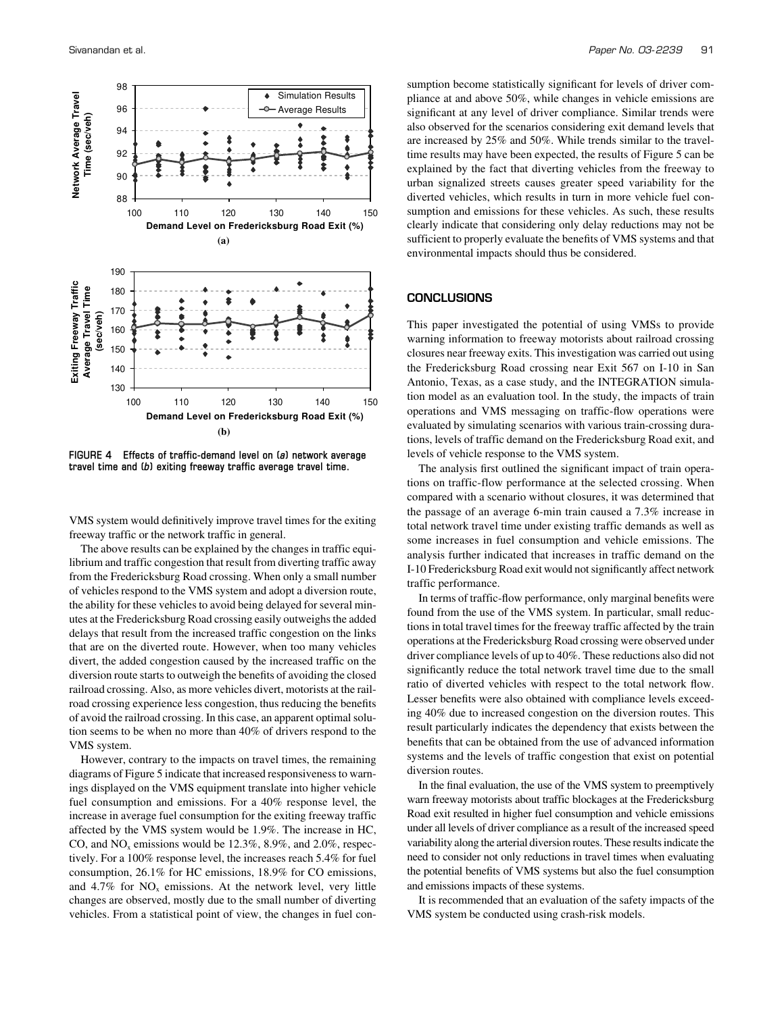

**FIGURE 4 Effects of traffic-demand level on (***a***) network average travel time and (***b***) exiting freeway traffic average travel time.**

VMS system would definitively improve travel times for the exiting freeway traffic or the network traffic in general.

The above results can be explained by the changes in traffic equilibrium and traffic congestion that result from diverting traffic away from the Fredericksburg Road crossing. When only a small number of vehicles respond to the VMS system and adopt a diversion route, the ability for these vehicles to avoid being delayed for several minutes at the Fredericksburg Road crossing easily outweighs the added delays that result from the increased traffic congestion on the links that are on the diverted route. However, when too many vehicles divert, the added congestion caused by the increased traffic on the diversion route starts to outweigh the benefits of avoiding the closed railroad crossing. Also, as more vehicles divert, motorists at the railroad crossing experience less congestion, thus reducing the benefits of avoid the railroad crossing. In this case, an apparent optimal solution seems to be when no more than 40% of drivers respond to the VMS system.

However, contrary to the impacts on travel times, the remaining diagrams of Figure 5 indicate that increased responsiveness to warnings displayed on the VMS equipment translate into higher vehicle fuel consumption and emissions. For a 40% response level, the increase in average fuel consumption for the exiting freeway traffic affected by the VMS system would be 1.9%. The increase in HC, CO, and  $NO<sub>x</sub>$  emissions would be 12.3%, 8.9%, and 2.0%, respectively. For a 100% response level, the increases reach 5.4% for fuel consumption, 26.1% for HC emissions, 18.9% for CO emissions, and 4.7% for  $NO<sub>x</sub>$  emissions. At the network level, very little changes are observed, mostly due to the small number of diverting vehicles. From a statistical point of view, the changes in fuel consumption become statistically significant for levels of driver compliance at and above 50%, while changes in vehicle emissions are significant at any level of driver compliance. Similar trends were also observed for the scenarios considering exit demand levels that are increased by 25% and 50%. While trends similar to the traveltime results may have been expected, the results of Figure 5 can be explained by the fact that diverting vehicles from the freeway to urban signalized streets causes greater speed variability for the diverted vehicles, which results in turn in more vehicle fuel consumption and emissions for these vehicles. As such, these results clearly indicate that considering only delay reductions may not be sufficient to properly evaluate the benefits of VMS systems and that environmental impacts should thus be considered.

## **CONCLUSIONS**

This paper investigated the potential of using VMSs to provide warning information to freeway motorists about railroad crossing closures near freeway exits. This investigation was carried out using the Fredericksburg Road crossing near Exit 567 on I-10 in San Antonio, Texas, as a case study, and the INTEGRATION simulation model as an evaluation tool. In the study, the impacts of train operations and VMS messaging on traffic-flow operations were evaluated by simulating scenarios with various train-crossing durations, levels of traffic demand on the Fredericksburg Road exit, and levels of vehicle response to the VMS system.

The analysis first outlined the significant impact of train operations on traffic-flow performance at the selected crossing. When compared with a scenario without closures, it was determined that the passage of an average 6-min train caused a 7.3% increase in total network travel time under existing traffic demands as well as some increases in fuel consumption and vehicle emissions. The analysis further indicated that increases in traffic demand on the I-10 Fredericksburg Road exit would not significantly affect network traffic performance.

In terms of traffic-flow performance, only marginal benefits were found from the use of the VMS system. In particular, small reductions in total travel times for the freeway traffic affected by the train operations at the Fredericksburg Road crossing were observed under driver compliance levels of up to 40%. These reductions also did not significantly reduce the total network travel time due to the small ratio of diverted vehicles with respect to the total network flow. Lesser benefits were also obtained with compliance levels exceeding 40% due to increased congestion on the diversion routes. This result particularly indicates the dependency that exists between the benefits that can be obtained from the use of advanced information systems and the levels of traffic congestion that exist on potential diversion routes.

In the final evaluation, the use of the VMS system to preemptively warn freeway motorists about traffic blockages at the Fredericksburg Road exit resulted in higher fuel consumption and vehicle emissions under all levels of driver compliance as a result of the increased speed variability along the arterial diversion routes. These results indicate the need to consider not only reductions in travel times when evaluating the potential benefits of VMS systems but also the fuel consumption and emissions impacts of these systems.

It is recommended that an evaluation of the safety impacts of the VMS system be conducted using crash-risk models.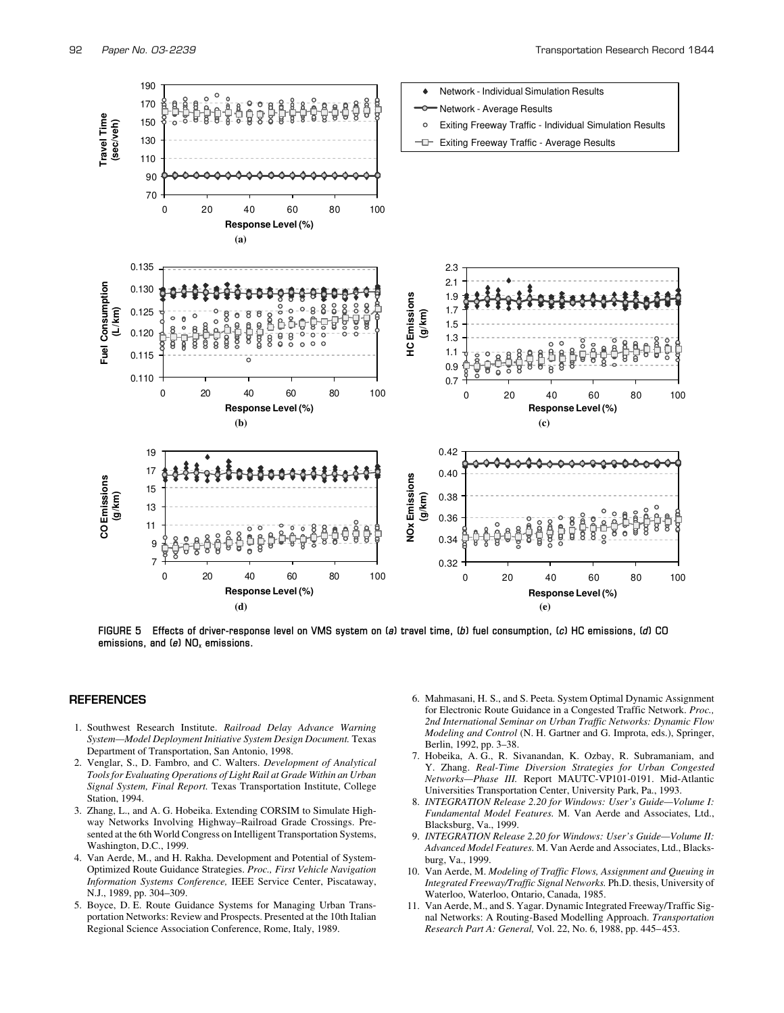

**FIGURE 5 Effects of driver-response level on VMS system on (***a***) travel time, (***b***) fuel consumption, (***c***) HC emissions, (***d***) CO emissions, and (***e***) NO<sup>x</sup> emissions.**

## **REFERENCES**

- 1. Southwest Research Institute. *Railroad Delay Advance Warning System—Model Deployment Initiative System Design Document.* Texas Department of Transportation, San Antonio, 1998.
- 2. Venglar, S., D. Fambro, and C. Walters. *Development of Analytical Tools for Evaluating Operations of Light Rail at Grade Within an Urban Signal System, Final Report.* Texas Transportation Institute, College Station, 1994.
- 3. Zhang, L., and A. G. Hobeika. Extending CORSIM to Simulate Highway Networks Involving Highway–Railroad Grade Crossings. Presented at the 6th World Congress on Intelligent Transportation Systems, Washington, D.C., 1999.
- 4. Van Aerde, M., and H. Rakha. Development and Potential of System-Optimized Route Guidance Strategies. *Proc., First Vehicle Navigation Information Systems Conference,* IEEE Service Center, Piscataway, N.J., 1989, pp. 304–309.
- 5. Boyce, D. E. Route Guidance Systems for Managing Urban Transportation Networks: Review and Prospects. Presented at the 10th Italian Regional Science Association Conference, Rome, Italy, 1989.
- 6. Mahmasani, H. S., and S. Peeta. System Optimal Dynamic Assignment for Electronic Route Guidance in a Congested Traffic Network. *Proc., 2nd International Seminar on Urban Traffic Networks: Dynamic Flow Modeling and Control* (N. H. Gartner and G. Improta, eds.), Springer, Berlin, 1992, pp. 3–38.
- 7. Hobeika, A. G., R. Sivanandan, K. Ozbay, R. Subramaniam, and Y. Zhang. *Real-Time Diversion Strategies for Urban Congested Networks—Phase III.* Report MAUTC-VP101-0191. Mid-Atlantic Universities Transportation Center, University Park, Pa., 1993.
- 8. *INTEGRATION Release 2.20 for Windows: User's Guide—Volume I: Fundamental Model Features.* M. Van Aerde and Associates, Ltd., Blacksburg, Va., 1999.
- 9. *INTEGRATION Release 2.20 for Windows: User's Guide—Volume II: Advanced Model Features.* M. Van Aerde and Associates, Ltd., Blacksburg, Va., 1999.
- 10. Van Aerde, M. *Modeling of Traffic Flows, Assignment and Queuing in Integrated Freeway/Traffic Signal Networks.* Ph.D. thesis, University of Waterloo, Waterloo, Ontario, Canada, 1985.
- 11. Van Aerde, M., and S. Yagar. Dynamic Integrated Freeway/Traffic Signal Networks: A Routing-Based Modelling Approach. *Transportation Research Part A: General,* Vol. 22, No. 6, 1988, pp. 445–453.